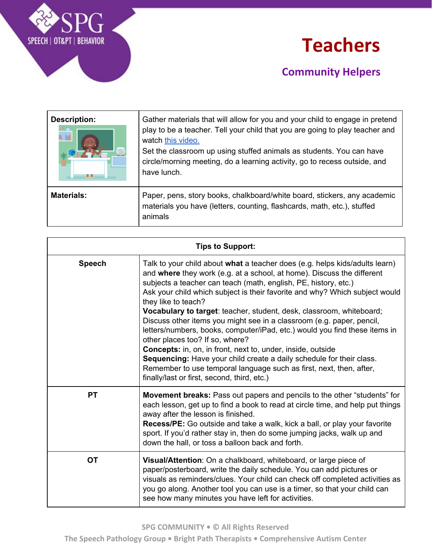

### **Teachers**

| <b>Description:</b><br>a. Ini | Gather materials that will allow for you and your child to engage in pretend<br>play to be a teacher. Tell your child that you are going to play teacher and<br>watch this video.<br>Set the classroom up using stuffed animals as students. You can have<br>circle/morning meeting, do a learning activity, go to recess outside, and<br>have lunch. |
|-------------------------------|-------------------------------------------------------------------------------------------------------------------------------------------------------------------------------------------------------------------------------------------------------------------------------------------------------------------------------------------------------|
| <b>Materials:</b>             | Paper, pens, story books, chalkboard/white board, stickers, any academic<br>materials you have (letters, counting, flashcards, math, etc.), stuffed<br>animals                                                                                                                                                                                        |

| <b>Tips to Support:</b> |                                                                                                                                                                                                                                                                                                                                                                                                                                                                                                                                                                                                                                                                                                                                                                                                                                                               |
|-------------------------|---------------------------------------------------------------------------------------------------------------------------------------------------------------------------------------------------------------------------------------------------------------------------------------------------------------------------------------------------------------------------------------------------------------------------------------------------------------------------------------------------------------------------------------------------------------------------------------------------------------------------------------------------------------------------------------------------------------------------------------------------------------------------------------------------------------------------------------------------------------|
| <b>Speech</b>           | Talk to your child about what a teacher does (e.g. helps kids/adults learn)<br>and where they work (e.g. at a school, at home). Discuss the different<br>subjects a teacher can teach (math, english, PE, history, etc.)<br>Ask your child which subject is their favorite and why? Which subject would<br>they like to teach?<br>Vocabulary to target: teacher, student, desk, classroom, whiteboard;<br>Discuss other items you might see in a classroom (e.g. paper, pencil,<br>letters/numbers, books, computer/iPad, etc.) would you find these items in<br>other places too? If so, where?<br>Concepts: in, on, in front, next to, under, inside, outside<br>Sequencing: Have your child create a daily schedule for their class.<br>Remember to use temporal language such as first, next, then, after,<br>finally/last or first, second, third, etc.) |
| <b>PT</b>               | Movement breaks: Pass out papers and pencils to the other "students" for<br>each lesson, get up to find a book to read at circle time, and help put things<br>away after the lesson is finished.<br><b>Recess/PE:</b> Go outside and take a walk, kick a ball, or play your favorite<br>sport. If you'd rather stay in, then do some jumping jacks, walk up and<br>down the hall, or toss a balloon back and forth.                                                                                                                                                                                                                                                                                                                                                                                                                                           |
| <b>OT</b>               | Visual/Attention: On a chalkboard, whiteboard, or large piece of<br>paper/posterboard, write the daily schedule. You can add pictures or<br>visuals as reminders/clues. Your child can check off completed activities as<br>you go along. Another tool you can use is a timer, so that your child can<br>see how many minutes you have left for activities.                                                                                                                                                                                                                                                                                                                                                                                                                                                                                                   |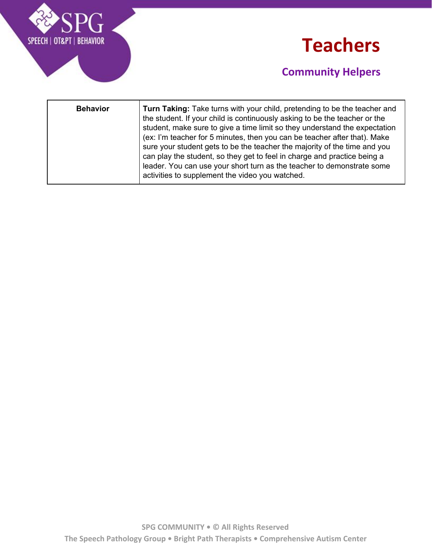



| <b>Behavior</b> | <b>Turn Taking:</b> Take turns with your child, pretending to be the teacher and<br>the student. If your child is continuously asking to be the teacher or the<br>student, make sure to give a time limit so they understand the expectation<br>(ex: I'm teacher for 5 minutes, then you can be teacher after that). Make<br>sure your student gets to be the teacher the majority of the time and you<br>can play the student, so they get to feel in charge and practice being a<br>leader. You can use your short turn as the teacher to demonstrate some<br>activities to supplement the video you watched. |
|-----------------|-----------------------------------------------------------------------------------------------------------------------------------------------------------------------------------------------------------------------------------------------------------------------------------------------------------------------------------------------------------------------------------------------------------------------------------------------------------------------------------------------------------------------------------------------------------------------------------------------------------------|
|-----------------|-----------------------------------------------------------------------------------------------------------------------------------------------------------------------------------------------------------------------------------------------------------------------------------------------------------------------------------------------------------------------------------------------------------------------------------------------------------------------------------------------------------------------------------------------------------------------------------------------------------------|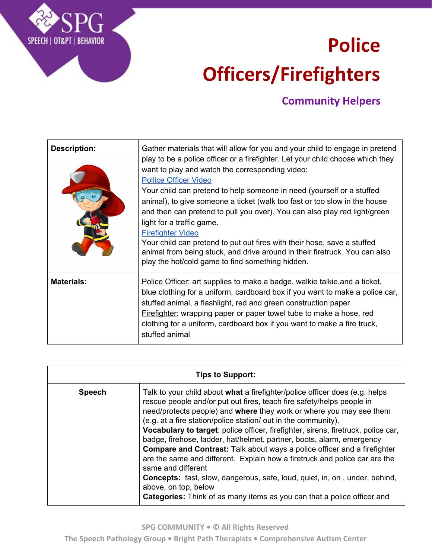# **Police Officers/Firefighters**

#### **Community Helpers**

| <b>Description:</b> | Gather materials that will allow for you and your child to engage in pretend<br>play to be a police officer or a firefighter. Let your child choose which they<br>want to play and watch the corresponding video:<br><b>Pollice Officer Video</b><br>Your child can pretend to help someone in need (yourself or a stuffed<br>animal), to give someone a ticket (walk too fast or too slow in the house<br>and then can pretend to pull you over). You can also play red light/green<br>light for a traffic game.<br><b>Firefighter Video</b><br>Your child can pretend to put out fires with their hose, save a stuffed<br>animal from being stuck, and drive around in their firetruck. You can also<br>play the hot/cold game to find something hidden. |
|---------------------|------------------------------------------------------------------------------------------------------------------------------------------------------------------------------------------------------------------------------------------------------------------------------------------------------------------------------------------------------------------------------------------------------------------------------------------------------------------------------------------------------------------------------------------------------------------------------------------------------------------------------------------------------------------------------------------------------------------------------------------------------------|
| <b>Materials:</b>   | Police Officer: art supplies to make a badge, walkie talkie, and a ticket,<br>blue clothing for a uniform, cardboard box if you want to make a police car,<br>stuffed animal, a flashlight, red and green construction paper<br><b>Firefighter:</b> wrapping paper or paper towel tube to make a hose, red<br>clothing for a uniform, cardboard box if you want to make a fire truck,<br>stuffed animal                                                                                                                                                                                                                                                                                                                                                    |

SPEECH | OT&PT | BEHAVIOR

| <b>Tips to Support:</b> |                                                                                                                                                                                                                                                                                                                                                                                                                                                                                                                                                                                                                                                                                                                                                                                                                                                   |
|-------------------------|---------------------------------------------------------------------------------------------------------------------------------------------------------------------------------------------------------------------------------------------------------------------------------------------------------------------------------------------------------------------------------------------------------------------------------------------------------------------------------------------------------------------------------------------------------------------------------------------------------------------------------------------------------------------------------------------------------------------------------------------------------------------------------------------------------------------------------------------------|
| <b>Speech</b>           | Talk to your child about what a firefighter/police officer does (e.g. helps<br>rescue people and/or put out fires, teach fire safety/helps people in<br>need/protects people) and where they work or where you may see them<br>(e.g. at a fire station/police station/ out in the community).<br>Vocabulary to target: police officer, firefighter, sirens, firetruck, police car,<br>badge, firehose, ladder, hat/helmet, partner, boots, alarm, emergency<br><b>Compare and Contrast:</b> Talk about ways a police officer and a firefighter<br>are the same and different. Explain how a firetruck and police car are the<br>same and different<br><b>Concepts:</b> fast, slow, dangerous, safe, loud, quiet, in, on, under, behind,<br>above, on top, below<br><b>Categories:</b> Think of as many items as you can that a police officer and |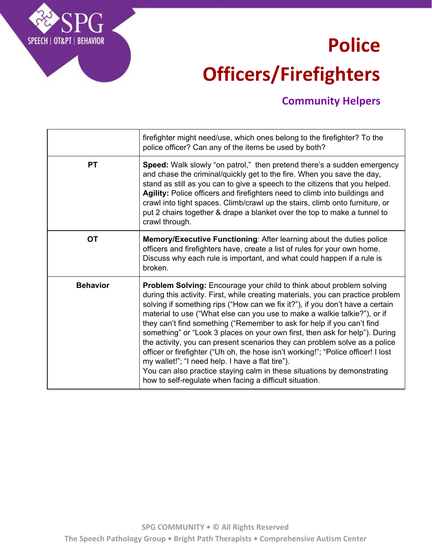## **Police Officers/Firefighters**

#### **Community Helpers**

|                 | firefighter might need/use, which ones belong to the firefighter? To the<br>police officer? Can any of the items be used by both?                                                                                                                                                                                                                                                                                                                                                                                                                                                                                                                                                                                                                                                                                                                  |
|-----------------|----------------------------------------------------------------------------------------------------------------------------------------------------------------------------------------------------------------------------------------------------------------------------------------------------------------------------------------------------------------------------------------------------------------------------------------------------------------------------------------------------------------------------------------------------------------------------------------------------------------------------------------------------------------------------------------------------------------------------------------------------------------------------------------------------------------------------------------------------|
| <b>PT</b>       | Speed: Walk slowly "on patrol," then pretend there's a sudden emergency<br>and chase the criminal/quickly get to the fire. When you save the day,<br>stand as still as you can to give a speech to the citizens that you helped.<br>Agility: Police officers and firefighters need to climb into buildings and<br>crawl into tight spaces. Climb/crawl up the stairs, climb onto furniture, or<br>put 2 chairs together & drape a blanket over the top to make a tunnel to<br>crawl through.                                                                                                                                                                                                                                                                                                                                                       |
| <b>OT</b>       | Memory/Executive Functioning: After learning about the duties police<br>officers and firefighters have, create a list of rules for your own home.<br>Discuss why each rule is important, and what could happen if a rule is<br>broken.                                                                                                                                                                                                                                                                                                                                                                                                                                                                                                                                                                                                             |
| <b>Behavior</b> | <b>Problem Solving:</b> Encourage your child to think about problem solving<br>during this activity. First, while creating materials, you can practice problem<br>solving if something rips ("How can we fix it?"), if you don't have a certain<br>material to use ("What else can you use to make a walkie talkie?"), or if<br>they can't find something ("Remember to ask for help if you can't find<br>something" or "Look 3 places on your own first, then ask for help"). During<br>the activity, you can present scenarios they can problem solve as a police<br>officer or firefighter ("Uh oh, the hose isn't working!"; "Police officer! I lost<br>my wallet!"; "I need help. I have a flat tire").<br>You can also practice staying calm in these situations by demonstrating<br>how to self-regulate when facing a difficult situation. |

SPEECH | OT&PT | BEHAVIOR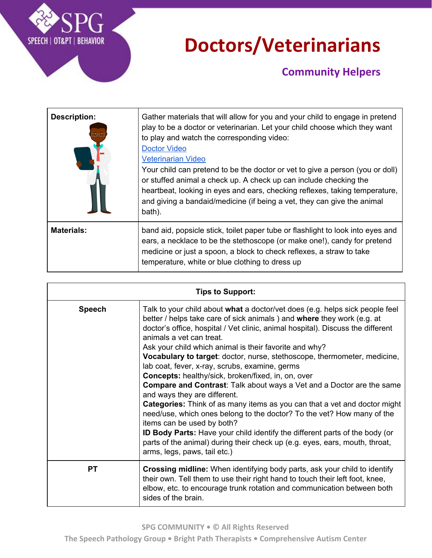

## **Doctors/Veterinarians**

| <b>Description:</b> | Gather materials that will allow for you and your child to engage in pretend<br>play to be a doctor or veterinarian. Let your child choose which they want<br>to play and watch the corresponding video:<br><b>Doctor Video</b><br><b>Veterinarian Video</b><br>Your child can pretend to be the doctor or vet to give a person (you or doll)<br>or stuffed animal a check up. A check up can include checking the<br>heartbeat, looking in eyes and ears, checking reflexes, taking temperature,<br>and giving a bandaid/medicine (if being a vet, they can give the animal<br>bath). |
|---------------------|----------------------------------------------------------------------------------------------------------------------------------------------------------------------------------------------------------------------------------------------------------------------------------------------------------------------------------------------------------------------------------------------------------------------------------------------------------------------------------------------------------------------------------------------------------------------------------------|
| <b>Materials:</b>   | band aid, popsicle stick, toilet paper tube or flashlight to look into eyes and<br>ears, a necklace to be the stethoscope (or make one!), candy for pretend<br>medicine or just a spoon, a block to check reflexes, a straw to take<br>temperature, white or blue clothing to dress up                                                                                                                                                                                                                                                                                                 |

| <b>Tips to Support:</b> |                                                                                                                                                                                                                                                                                                                                                                                                                                                                                                                                                                                                                                                                                                                                                                                                                                                                                                                                                                                                                                              |  |
|-------------------------|----------------------------------------------------------------------------------------------------------------------------------------------------------------------------------------------------------------------------------------------------------------------------------------------------------------------------------------------------------------------------------------------------------------------------------------------------------------------------------------------------------------------------------------------------------------------------------------------------------------------------------------------------------------------------------------------------------------------------------------------------------------------------------------------------------------------------------------------------------------------------------------------------------------------------------------------------------------------------------------------------------------------------------------------|--|
| <b>Speech</b>           | Talk to your child about what a doctor/vet does (e.g. helps sick people feel<br>better / helps take care of sick animals ) and where they work (e.g. at<br>doctor's office, hospital / Vet clinic, animal hospital). Discuss the different<br>animals a vet can treat.<br>Ask your child which animal is their favorite and why?<br>Vocabulary to target: doctor, nurse, stethoscope, thermometer, medicine,<br>lab coat, fever, x-ray, scrubs, examine, germs<br><b>Concepts:</b> healthy/sick, broken/fixed, in, on, over<br><b>Compare and Contrast:</b> Talk about ways a Vet and a Doctor are the same<br>and ways they are different.<br><b>Categories:</b> Think of as many items as you can that a vet and doctor might<br>need/use, which ones belong to the doctor? To the vet? How many of the<br>items can be used by both?<br><b>ID Body Parts:</b> Have your child identify the different parts of the body (or<br>parts of the animal) during their check up (e.g. eyes, ears, mouth, throat,<br>arms, legs, paws, tail etc.) |  |
| <b>PT</b>               | Crossing midline: When identifying body parts, ask your child to identify<br>their own. Tell them to use their right hand to touch their left foot, knee,<br>elbow, etc. to encourage trunk rotation and communication between both<br>sides of the brain.                                                                                                                                                                                                                                                                                                                                                                                                                                                                                                                                                                                                                                                                                                                                                                                   |  |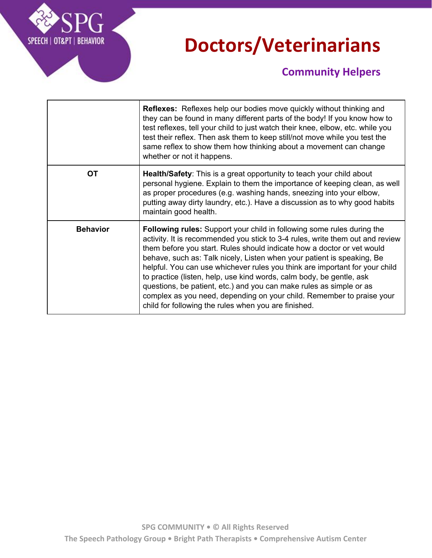

### **Doctors/Veterinarians**

|                 | <b>Reflexes:</b> Reflexes help our bodies move quickly without thinking and<br>they can be found in many different parts of the body! If you know how to<br>test reflexes, tell your child to just watch their knee, elbow, etc. while you<br>test their reflex. Then ask them to keep still/not move while you test the<br>same reflex to show them how thinking about a movement can change<br>whether or not it happens.                                                                                                                                                                                                                                                       |
|-----------------|-----------------------------------------------------------------------------------------------------------------------------------------------------------------------------------------------------------------------------------------------------------------------------------------------------------------------------------------------------------------------------------------------------------------------------------------------------------------------------------------------------------------------------------------------------------------------------------------------------------------------------------------------------------------------------------|
| ОT              | <b>Health/Safety:</b> This is a great opportunity to teach your child about<br>personal hygiene. Explain to them the importance of keeping clean, as well<br>as proper procedures (e.g. washing hands, sneezing into your elbow,<br>putting away dirty laundry, etc.). Have a discussion as to why good habits<br>maintain good health.                                                                                                                                                                                                                                                                                                                                           |
| <b>Behavior</b> | <b>Following rules:</b> Support your child in following some rules during the<br>activity. It is recommended you stick to 3-4 rules, write them out and review<br>them before you start. Rules should indicate how a doctor or vet would<br>behave, such as: Talk nicely, Listen when your patient is speaking, Be<br>helpful. You can use whichever rules you think are important for your child<br>to practice (listen, help, use kind words, calm body, be gentle, ask<br>questions, be patient, etc.) and you can make rules as simple or as<br>complex as you need, depending on your child. Remember to praise your<br>child for following the rules when you are finished. |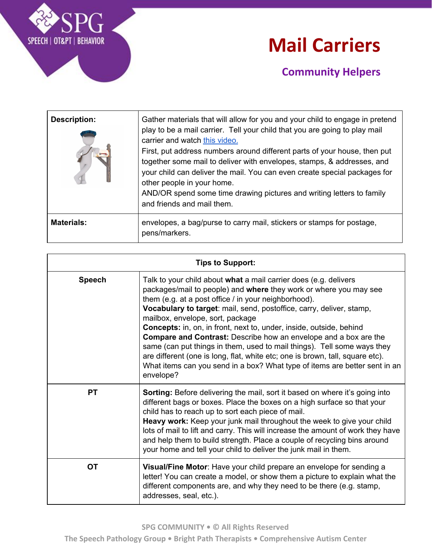

### **Mail Carriers**

| <b>Description:</b> | Gather materials that will allow for you and your child to engage in pretend<br>play to be a mail carrier. Tell your child that you are going to play mail<br>carrier and watch this video.<br>First, put address numbers around different parts of your house, then put<br>together some mail to deliver with envelopes, stamps, & addresses, and<br>your child can deliver the mail. You can even create special packages for<br>other people in your home.<br>AND/OR spend some time drawing pictures and writing letters to family<br>and friends and mail them. |
|---------------------|----------------------------------------------------------------------------------------------------------------------------------------------------------------------------------------------------------------------------------------------------------------------------------------------------------------------------------------------------------------------------------------------------------------------------------------------------------------------------------------------------------------------------------------------------------------------|
| <b>Materials:</b>   | envelopes, a bag/purse to carry mail, stickers or stamps for postage,<br>pens/markers.                                                                                                                                                                                                                                                                                                                                                                                                                                                                               |

| <b>Tips to Support:</b> |                                                                                                                                                                                                                                                                                                                                                                                                                                                                                                                                                                                                                                                                                                                           |
|-------------------------|---------------------------------------------------------------------------------------------------------------------------------------------------------------------------------------------------------------------------------------------------------------------------------------------------------------------------------------------------------------------------------------------------------------------------------------------------------------------------------------------------------------------------------------------------------------------------------------------------------------------------------------------------------------------------------------------------------------------------|
| <b>Speech</b>           | Talk to your child about what a mail carrier does (e.g. delivers<br>packages/mail to people) and where they work or where you may see<br>them (e.g. at a post office / in your neighborhood).<br>Vocabulary to target: mail, send, postoffice, carry, deliver, stamp,<br>mailbox, envelope, sort, package<br><b>Concepts:</b> in, on, in front, next to, under, inside, outside, behind<br><b>Compare and Contrast:</b> Describe how an envelope and a box are the<br>same (can put things in them, used to mail things). Tell some ways they<br>are different (one is long, flat, white etc; one is brown, tall, square etc).<br>What items can you send in a box? What type of items are better sent in an<br>envelope? |
| <b>PT</b>               | <b>Sorting:</b> Before delivering the mail, sort it based on where it's going into<br>different bags or boxes. Place the boxes on a high surface so that your<br>child has to reach up to sort each piece of mail.<br>Heavy work: Keep your junk mail throughout the week to give your child<br>lots of mail to lift and carry. This will increase the amount of work they have<br>and help them to build strength. Place a couple of recycling bins around<br>your home and tell your child to deliver the junk mail in them.                                                                                                                                                                                            |
| <b>OT</b>               | Visual/Fine Motor: Have your child prepare an envelope for sending a<br>letter! You can create a model, or show them a picture to explain what the<br>different components are, and why they need to be there (e.g. stamp,<br>addresses, seal, etc.).                                                                                                                                                                                                                                                                                                                                                                                                                                                                     |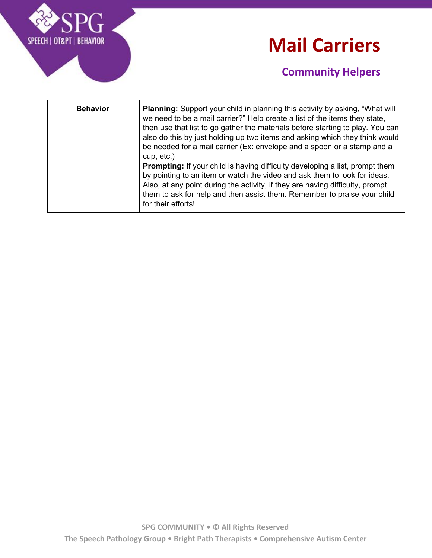

### **Mail Carriers**

| <b>Behavior</b> | <b>Planning:</b> Support your child in planning this activity by asking, "What will<br>we need to be a mail carrier?" Help create a list of the items they state,<br>then use that list to go gather the materials before starting to play. You can<br>also do this by just holding up two items and asking which they think would<br>be needed for a mail carrier (Ex: envelope and a spoon or a stamp and a<br>$cup, etc.$ )<br>Prompting: If your child is having difficulty developing a list, prompt them<br>by pointing to an item or watch the video and ask them to look for ideas.<br>Also, at any point during the activity, if they are having difficulty, prompt<br>them to ask for help and then assist them. Remember to praise your child<br>for their efforts! |
|-----------------|--------------------------------------------------------------------------------------------------------------------------------------------------------------------------------------------------------------------------------------------------------------------------------------------------------------------------------------------------------------------------------------------------------------------------------------------------------------------------------------------------------------------------------------------------------------------------------------------------------------------------------------------------------------------------------------------------------------------------------------------------------------------------------|
|-----------------|--------------------------------------------------------------------------------------------------------------------------------------------------------------------------------------------------------------------------------------------------------------------------------------------------------------------------------------------------------------------------------------------------------------------------------------------------------------------------------------------------------------------------------------------------------------------------------------------------------------------------------------------------------------------------------------------------------------------------------------------------------------------------------|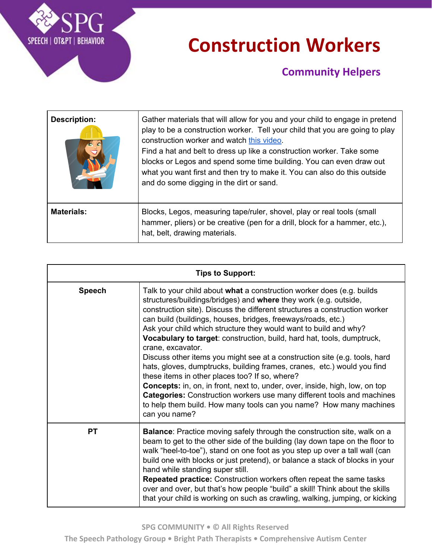

### **Construction Workers**

| <b>Description:</b> | Gather materials that will allow for you and your child to engage in pretend<br>play to be a construction worker. Tell your child that you are going to play<br>construction worker and watch this video.<br>Find a hat and belt to dress up like a construction worker. Take some<br>blocks or Legos and spend some time building. You can even draw out<br>what you want first and then try to make it. You can also do this outside<br>and do some digging in the dirt or sand. |
|---------------------|------------------------------------------------------------------------------------------------------------------------------------------------------------------------------------------------------------------------------------------------------------------------------------------------------------------------------------------------------------------------------------------------------------------------------------------------------------------------------------|
| <b>Materials:</b>   | Blocks, Legos, measuring tape/ruler, shovel, play or real tools (small<br>hammer, pliers) or be creative (pen for a drill, block for a hammer, etc.),<br>hat, belt, drawing materials.                                                                                                                                                                                                                                                                                             |

| <b>Tips to Support:</b> |                                                                                                                                                                                                                                                                                                                                                                                                                                                                                                                                                                                                                                                                                                                                                                                                                                                                                                                                     |  |
|-------------------------|-------------------------------------------------------------------------------------------------------------------------------------------------------------------------------------------------------------------------------------------------------------------------------------------------------------------------------------------------------------------------------------------------------------------------------------------------------------------------------------------------------------------------------------------------------------------------------------------------------------------------------------------------------------------------------------------------------------------------------------------------------------------------------------------------------------------------------------------------------------------------------------------------------------------------------------|--|
| <b>Speech</b>           | Talk to your child about what a construction worker does (e.g. builds<br>structures/buildings/bridges) and where they work (e.g. outside,<br>construction site). Discuss the different structures a construction worker<br>can build (buildings, houses, bridges, freeways/roads, etc.)<br>Ask your child which structure they would want to build and why?<br>Vocabulary to target: construction, build, hard hat, tools, dumptruck,<br>crane, excavator.<br>Discuss other items you might see at a construction site (e.g. tools, hard<br>hats, gloves, dumptrucks, building frames, cranes, etc.) would you find<br>these items in other places too? If so, where?<br><b>Concepts:</b> in, on, in front, next to, under, over, inside, high, low, on top<br><b>Categories:</b> Construction workers use many different tools and machines<br>to help them build. How many tools can you name? How many machines<br>can you name? |  |
| <b>PT</b>               | <b>Balance:</b> Practice moving safely through the construction site, walk on a<br>beam to get to the other side of the building (lay down tape on the floor to<br>walk "heel-to-toe"), stand on one foot as you step up over a tall wall (can<br>build one with blocks or just pretend), or balance a stack of blocks in your<br>hand while standing super still.<br>Repeated practice: Construction workers often repeat the same tasks<br>over and over, but that's how people "build" a skill! Think about the skills<br>that your child is working on such as crawling, walking, jumping, or kicking                                                                                                                                                                                                                                                                                                                           |  |